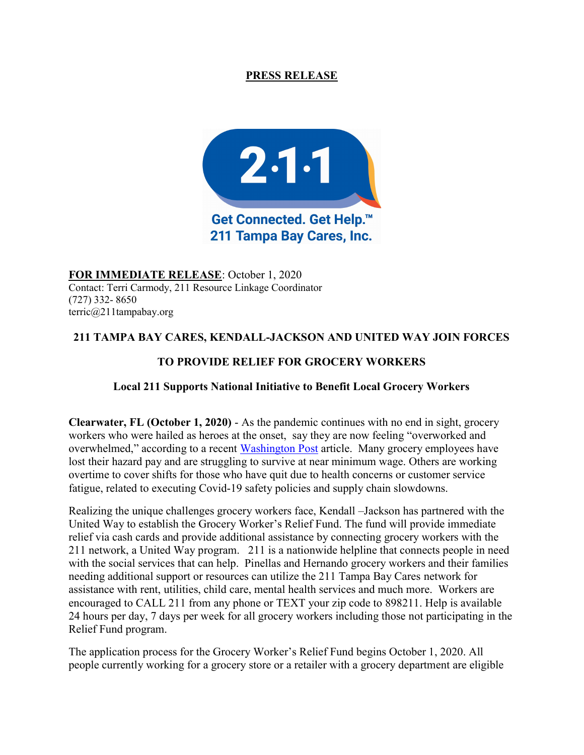# PRESS RELEASE



FOR IMMEDIATE RELEASE: October 1, 2020 Contact: Terri Carmody, 211 Resource Linkage Coordinator (727) 332- 8650 terric@211tampabay.org

# 211 TAMPA BAY CARES, KENDALL-JACKSON AND UNITED WAY JOIN FORCES

# TO PROVIDE RELIEF FOR GROCERY WORKERS

## Local 211 Supports National Initiative to Benefit Local Grocery Workers

Clearwater, FL (October 1, 2020) - As the pandemic continues with no end in sight, grocery workers who were hailed as heroes at the onset, say they are now feeling "overworked and overwhelmed," according to a recent Washington Post article. Many grocery employees have lost their hazard pay and are struggling to survive at near minimum wage. Others are working overtime to cover shifts for those who have quit due to health concerns or customer service fatigue, related to executing Covid-19 safety policies and supply chain slowdowns.

Realizing the unique challenges grocery workers face, Kendall –Jackson has partnered with the United Way to establish the Grocery Worker's Relief Fund. The fund will provide immediate relief via cash cards and provide additional assistance by connecting grocery workers with the 211 network, a United Way program. 211 is a nationwide helpline that connects people in need with the social services that can help. Pinellas and Hernando grocery workers and their families needing additional support or resources can utilize the 211 Tampa Bay Cares network for assistance with rent, utilities, child care, mental health services and much more. Workers are encouraged to CALL 211 from any phone or TEXT your zip code to 898211. Help is available 24 hours per day, 7 days per week for all grocery workers including those not participating in the Relief Fund program.

The application process for the Grocery Worker's Relief Fund begins October 1, 2020. All people currently working for a grocery store or a retailer with a grocery department are eligible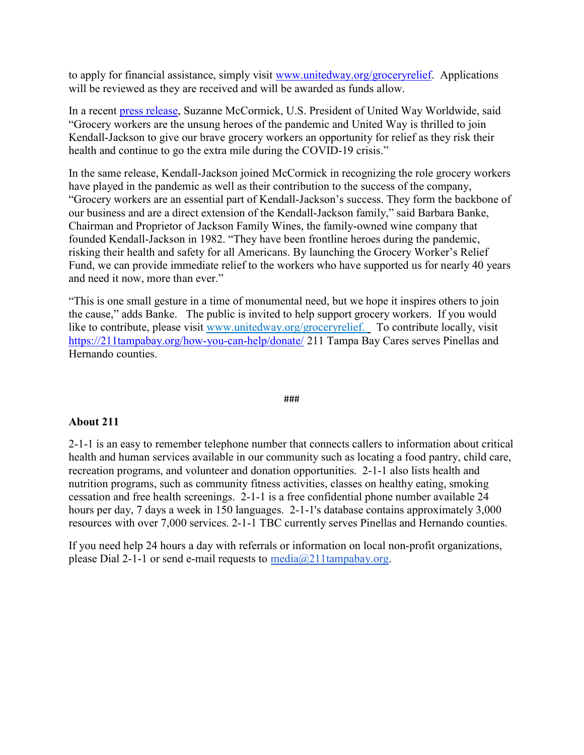to apply for financial assistance, simply visit www.unitedway.org/groceryrelief. Applications will be reviewed as they are received and will be awarded as funds allow.

In a recent press release, Suzanne McCormick, U.S. President of United Way Worldwide, said "Grocery workers are the unsung heroes of the pandemic and United Way is thrilled to join Kendall-Jackson to give our brave grocery workers an opportunity for relief as they risk their health and continue to go the extra mile during the COVID-19 crisis."

In the same release, Kendall-Jackson joined McCormick in recognizing the role grocery workers have played in the pandemic as well as their contribution to the success of the company, "Grocery workers are an essential part of Kendall-Jackson's success. They form the backbone of our business and are a direct extension of the Kendall-Jackson family," said Barbara Banke, Chairman and Proprietor of Jackson Family Wines, the family-owned wine company that founded Kendall-Jackson in 1982. "They have been frontline heroes during the pandemic, risking their health and safety for all Americans. By launching the Grocery Worker's Relief Fund, we can provide immediate relief to the workers who have supported us for nearly 40 years and need it now, more than ever."

"This is one small gesture in a time of monumental need, but we hope it inspires others to join the cause," adds Banke. The public is invited to help support grocery workers. If you would like to contribute, please visit www.unitedway.org/groceryrelief. To contribute locally, visit https://211tampabay.org/how-you-can-help/donate/ 211 Tampa Bay Cares serves Pinellas and Hernando counties.

#### ###

### About 211

2-1-1 is an easy to remember telephone number that connects callers to information about critical health and human services available in our community such as locating a food pantry, child care, recreation programs, and volunteer and donation opportunities. 2-1-1 also lists health and nutrition programs, such as community fitness activities, classes on healthy eating, smoking cessation and free health screenings. 2-1-1 is a free confidential phone number available 24 hours per day, 7 days a week in 150 languages. 2-1-1's database contains approximately 3,000 resources with over 7,000 services. 2-1-1 TBC currently serves Pinellas and Hernando counties.

If you need help 24 hours a day with referrals or information on local non-profit organizations, please Dial 2-1-1 or send e-mail requests to  $\text{median}(a/211 \text{tampabay.org})$ .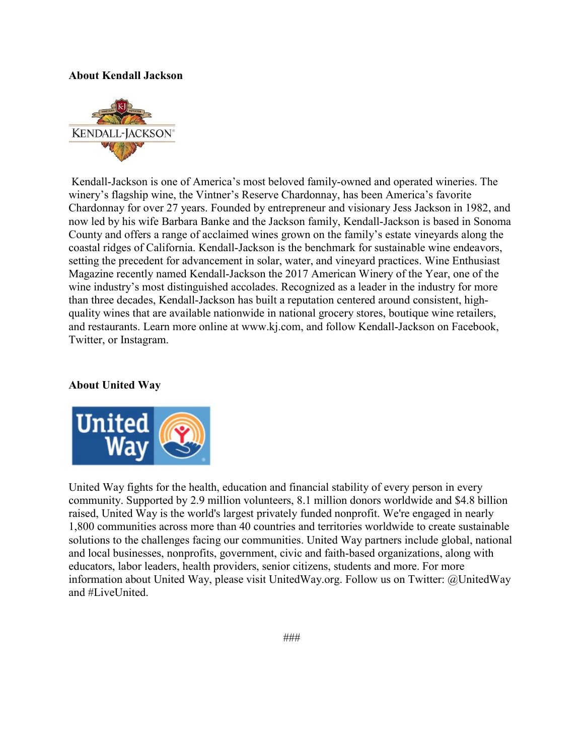### About Kendall Jackson



Kendall-Jackson is one of America's most beloved family-owned and operated wineries. The winery's flagship wine, the Vintner's Reserve Chardonnay, has been America's favorite Chardonnay for over 27 years. Founded by entrepreneur and visionary Jess Jackson in 1982, and now led by his wife Barbara Banke and the Jackson family, Kendall-Jackson is based in Sonoma County and offers a range of acclaimed wines grown on the family's estate vineyards along the coastal ridges of California. Kendall-Jackson is the benchmark for sustainable wine endeavors, setting the precedent for advancement in solar, water, and vineyard practices. Wine Enthusiast Magazine recently named Kendall-Jackson the 2017 American Winery of the Year, one of the wine industry's most distinguished accolades. Recognized as a leader in the industry for more than three decades, Kendall-Jackson has built a reputation centered around consistent, highquality wines that are available nationwide in national grocery stores, boutique wine retailers, and restaurants. Learn more online at www.kj.com, and follow Kendall-Jackson on Facebook, Twitter, or Instagram.

### About United Way



United Way fights for the health, education and financial stability of every person in every community. Supported by 2.9 million volunteers, 8.1 million donors worldwide and \$4.8 billion raised, United Way is the world's largest privately funded nonprofit. We're engaged in nearly 1,800 communities across more than 40 countries and territories worldwide to create sustainable solutions to the challenges facing our communities. United Way partners include global, national and local businesses, nonprofits, government, civic and faith-based organizations, along with educators, labor leaders, health providers, senior citizens, students and more. For more information about United Way, please visit UnitedWay.org. Follow us on Twitter: @UnitedWay and #LiveUnited.